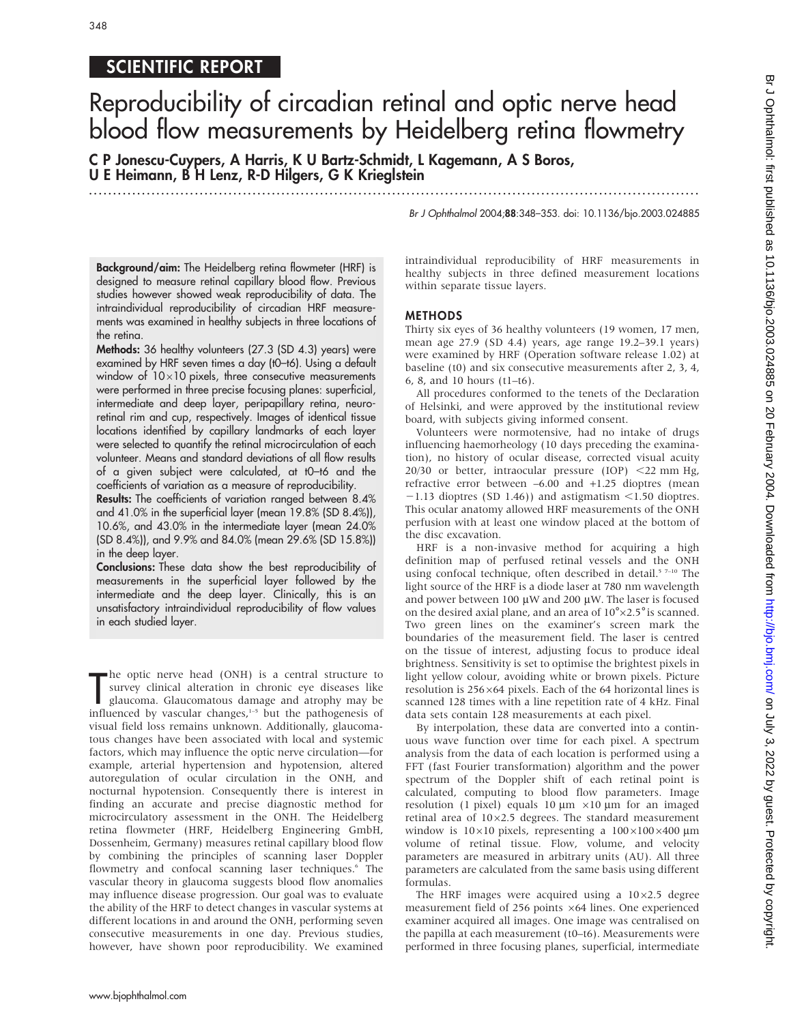# SCIENTIFIC REPORT

348

## Reproducibility of circadian retinal and optic nerve head blood flow measurements by Heidelberg retina flowmetry

.............................................................................................................................. .

C P Jonescu-Cuypers, A Harris, K U Bartz-Schmidt, L Kagemann, A S Boros, U E Heimann, B H Lenz, R-D Hilgers, G K Krieglstein

Br J Ophthalmol 2004;88:348–353. doi: 10.1136/bjo.2003.024885

Background/aim: The Heidelberg retina flowmeter (HRF) is designed to measure retinal capillary blood flow. Previous studies however showed weak reproducibility of data. The intraindividual reproducibility of circadian HRF measurements was examined in healthy subjects in three locations of the retina.

Methods: 36 healthy volunteers (27.3 (SD 4.3) years) were examined by HRF seven times a day (t0–t6). Using a default window of  $10\times10$  pixels, three consecutive measurements were performed in three precise focusing planes: superficial, intermediate and deep layer, peripapillary retina, neuroretinal rim and cup, respectively. Images of identical tissue locations identified by capillary landmarks of each layer were selected to quantify the retinal microcirculation of each volunteer. Means and standard deviations of all flow results of a given subject were calculated, at t0–t6 and the coefficients of variation as a measure of reproducibility.

Results: The coefficients of variation ranged between 8.4% and 41.0% in the superficial layer (mean 19.8% (SD 8.4%)), 10.6%, and 43.0% in the intermediate layer (mean 24.0% (SD 8.4%)), and 9.9% and 84.0% (mean 29.6% (SD 15.8%)) in the deep layer.

Conclusions: These data show the best reproducibility of measurements in the superficial layer followed by the intermediate and the deep layer. Clinically, this is an unsatisfactory intraindividual reproducibility of flow values in each studied layer.

The optic nerve head (ONH) is a central structure to<br>survey clinical alteration in chronic eye diseases like<br>glaucoma. Glaucomatous damage and atrophy may be<br>influenced by vascular changes,<sup>1-5</sup> but the pathogenesis of he optic nerve head (ONH) is a central structure to survey clinical alteration in chronic eye diseases like glaucoma. Glaucomatous damage and atrophy may be visual field loss remains unknown. Additionally, glaucomatous changes have been associated with local and systemic factors, which may influence the optic nerve circulation—for example, arterial hypertension and hypotension, altered autoregulation of ocular circulation in the ONH, and nocturnal hypotension. Consequently there is interest in finding an accurate and precise diagnostic method for microcirculatory assessment in the ONH. The Heidelberg retina flowmeter (HRF, Heidelberg Engineering GmbH, Dossenheim, Germany) measures retinal capillary blood flow by combining the principles of scanning laser Doppler flowmetry and confocal scanning laser techniques.<sup>6</sup> The vascular theory in glaucoma suggests blood flow anomalies may influence disease progression. Our goal was to evaluate the ability of the HRF to detect changes in vascular systems at different locations in and around the ONH, performing seven consecutive measurements in one day. Previous studies, however, have shown poor reproducibility. We examined intraindividual reproducibility of HRF measurements in healthy subjects in three defined measurement locations within separate tissue layers.

#### METHODS

Thirty six eyes of 36 healthy volunteers (19 women, 17 men, mean age 27.9 (SD 4.4) years, age range 19.2–39.1 years) were examined by HRF (Operation software release 1.02) at baseline (t0) and six consecutive measurements after 2, 3, 4, 6, 8, and 10 hours (t1–t6).

All procedures conformed to the tenets of the Declaration of Helsinki, and were approved by the institutional review board, with subjects giving informed consent.

Volunteers were normotensive, had no intake of drugs influencing haemorheology (10 days preceding the examination), no history of ocular disease, corrected visual acuity  $20/30$  or better, intraocular pressure (IOP)  $\leq$ 22 mm Hg, refractive error between –6.00 and +1.25 dioptres (mean  $-1.13$  dioptres (SD 1.46)) and astigmatism  $\leq$ 1.50 dioptres. This ocular anatomy allowed HRF measurements of the ONH perfusion with at least one window placed at the bottom of the disc excavation.

HRF is a non-invasive method for acquiring a high definition map of perfused retinal vessels and the ONH using confocal technique, often described in detail.<sup>5 7-10</sup> The light source of the HRF is a diode laser at 780 nm wavelength and power between 100  $\mu$ W and 200  $\mu$ W. The laser is focused on the desired axial plane, and an area of  $10^{\circ} \times 2.5^{\circ}$  is scanned. Two green lines on the examiner's screen mark the boundaries of the measurement field. The laser is centred on the tissue of interest, adjusting focus to produce ideal brightness. Sensitivity is set to optimise the brightest pixels in light yellow colour, avoiding white or brown pixels. Picture resolution is  $256\times64$  pixels. Each of the 64 horizontal lines is scanned 128 times with a line repetition rate of 4 kHz. Final data sets contain 128 measurements at each pixel.

By interpolation, these data are converted into a continuous wave function over time for each pixel. A spectrum analysis from the data of each location is performed using a FFT (fast Fourier transformation) algorithm and the power spectrum of the Doppler shift of each retinal point is calculated, computing to blood flow parameters. Image resolution (1 pixel) equals 10  $\mu$ m  $\times$ 10  $\mu$ m for an imaged retinal area of  $10\times2.5$  degrees. The standard measurement window is  $10\times10$  pixels, representing a  $100\times100\times400$  µm volume of retinal tissue. Flow, volume, and velocity parameters are measured in arbitrary units (AU). All three parameters are calculated from the same basis using different formulas.

The HRF images were acquired using a  $10\times2.5$  degree measurement field of 256 points  $\times 64$  lines. One experienced examiner acquired all images. One image was centralised on the papilla at each measurement (t0–t6). Measurements were performed in three focusing planes, superficial, intermediate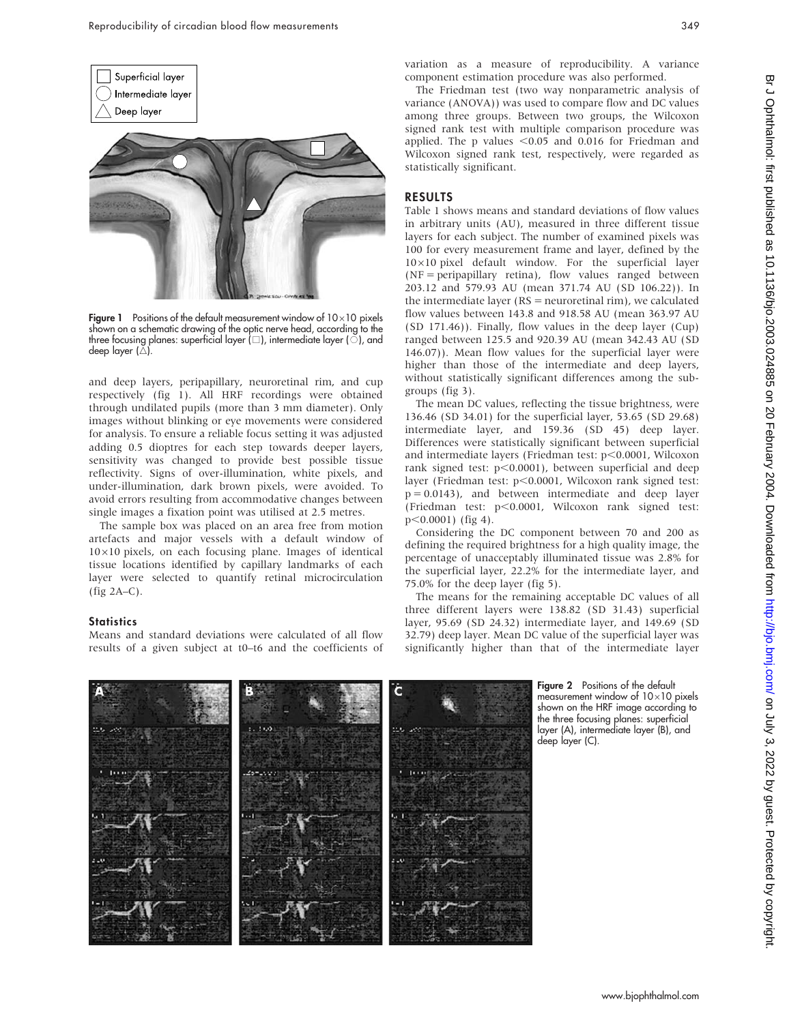



**Figure 1** Positions of the default measurement window of  $10\times10$  pixels shown on a schematic drawing of the optic nerve head, according to the three focusing planes: superficial layer ( $\square$ ), intermediate layer ( $\circ$ ), and deep layer (A)

and deep layers, peripapillary, neuroretinal rim, and cup respectively (fig 1). All HRF recordings were obtained through undilated pupils (more than 3 mm diameter). Only images without blinking or eye movements were considered for analysis. To ensure a reliable focus setting it was adjusted adding 0.5 dioptres for each step towards deeper layers, sensitivity was changed to provide best possible tissue reflectivity. Signs of over-illumination, white pixels, and under-illumination, dark brown pixels, were avoided. To avoid errors resulting from accommodative changes between single images a fixation point was utilised at 2.5 metres.

The sample box was placed on an area free from motion artefacts and major vessels with a default window of  $10\times10$  pixels, on each focusing plane. Images of identical tissue locations identified by capillary landmarks of each layer were selected to quantify retinal microcirculation (fig 2A–C).

#### **Statistics**

Means and standard deviations were calculated of all flow results of a given subject at t0–t6 and the coefficients of variation as a measure of reproducibility. A variance component estimation procedure was also performed.

The Friedman test (two way nonparametric analysis of variance (ANOVA)) was used to compare flow and DC values among three groups. Between two groups, the Wilcoxon signed rank test with multiple comparison procedure was applied. The p values  $<$  0.05 and 0.016 for Friedman and Wilcoxon signed rank test, respectively, were regarded as statistically significant.

#### RESULTS

Table 1 shows means and standard deviations of flow values in arbitrary units (AU), measured in three different tissue layers for each subject. The number of examined pixels was 100 for every measurement frame and layer, defined by the  $10\times10$  pixel default window. For the superficial layer (NF = peripapillary retina), flow values ranged between 203.12 and 579.93 AU (mean 371.74 AU (SD 106.22)). In the intermediate layer ( $RS$  = neuroretinal rim), we calculated flow values between 143.8 and 918.58 AU (mean 363.97 AU (SD 171.46)). Finally, flow values in the deep layer (Cup) ranged between 125.5 and 920.39 AU (mean 342.43 AU (SD 146.07)). Mean flow values for the superficial layer were higher than those of the intermediate and deep layers, without statistically significant differences among the subgroups (fig 3).

The mean DC values, reflecting the tissue brightness, were 136.46 (SD 34.01) for the superficial layer, 53.65 (SD 29.68) intermediate layer, and 159.36 (SD 45) deep layer. Differences were statistically significant between superficial and intermediate layers (Friedman test:  $p<0.0001$ , Wilcoxon rank signed test:  $p<0.0001$ ), between superficial and deep layer (Friedman test: p<0.0001, Wilcoxon rank signed test:  $p = 0.0143$ ), and between intermediate and deep layer (Friedman test: p<0.0001, Wilcoxon rank signed test:  $p<0.0001$ ) (fig 4).

Considering the DC component between 70 and 200 as defining the required brightness for a high quality image, the percentage of unacceptably illuminated tissue was 2.8% for the superficial layer, 22.2% for the intermediate layer, and 75.0% for the deep layer (fig 5).

The means for the remaining acceptable DC values of all three different layers were 138.82 (SD 31.43) superficial layer, 95.69 (SD 24.32) intermediate layer, and 149.69 (SD 32.79) deep layer. Mean DC value of the superficial layer was significantly higher than that of the intermediate layer



Figure 2 Positions of the default measurement window of  $10\times10$  pixels shown on the HRF image according to the three focusing planes: superficial layer (A), intermediate layer (B), and deep layer (C).

www.bjophthalmol.com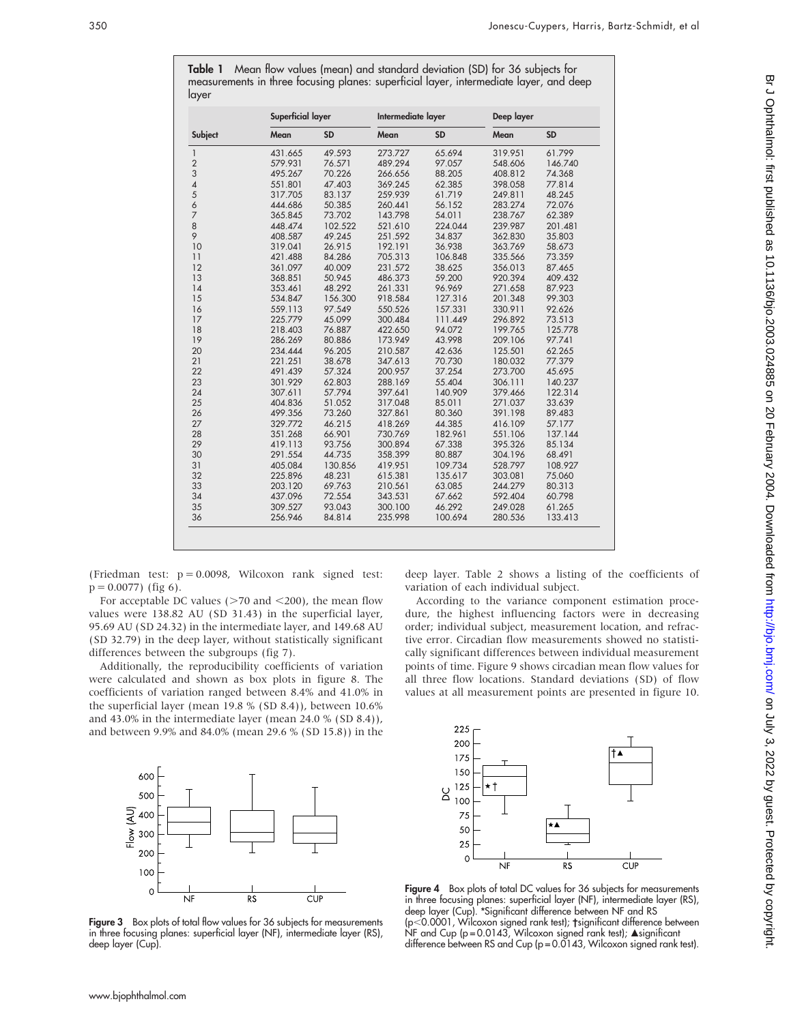| Subject                  | Superficial layer |           | Intermediate layer |           | Deep layer |           |
|--------------------------|-------------------|-----------|--------------------|-----------|------------|-----------|
|                          | Mean              | <b>SD</b> | Mean               | <b>SD</b> | Mean       | <b>SD</b> |
| 1                        | 431.665           | 49.593    | 273.727            | 65.694    | 319.951    | 61.799    |
| $\overline{2}$           | 579.931           | 76.571    | 489.294            | 97.057    | 548.606    | 146.740   |
| 3                        | 495.267           | 70.226    | 266.656            | 88.205    | 408.812    | 74.368    |
| $\overline{\mathcal{A}}$ | 551.801           | 47.403    | 369.245            | 62.385    | 398.058    | 77.814    |
| 5                        | 317.705           | 83.137    | 259.939            | 61.719    | 249.811    | 48.245    |
| $\ddot{\circ}$           | 444.686           | 50.385    | 260.441            | 56.152    | 283.274    | 72.076    |
| $\overline{7}$           | 365.845           | 73.702    | 143.798            | 54.011    | 238.767    | 62.389    |
| 8                        | 448.474           | 102.522   | 521.610            | 224.044   | 239.987    | 201.481   |
| 9                        | 408.587           | 49.245    | 251.592            | 34.837    | 362.830    | 35.803    |
| 10                       | 319.041           | 26.915    | 192.191            | 36.938    | 363.769    | 58.673    |
| 11                       | 421.488           | 84.286    | 705.313            | 106.848   | 335.566    | 73.359    |
| 12                       | 361.097           | 40.009    | 231.572            | 38.625    | 356.013    | 87.465    |
| 13                       | 368.851           | 50.945    | 486.373            | 59.200    | 920.394    | 409.432   |
| 14                       | 353.461           | 48.292    | 261.331            | 96.969    | 271.658    | 87.923    |
| 15                       | 534.847           | 156.300   | 918.584            | 127.316   | 201.348    | 99.303    |
| 16                       | 559.113           | 97.549    | 550.526            | 157.331   | 330.911    | 92.626    |
| 17                       | 225.779           | 45.099    | 300.484            | 111.449   | 296.892    | 73.513    |
| 18                       | 218.403           | 76.887    | 422.650            | 94.072    | 199.765    | 125.778   |
| 19                       | 286.269           | 80.886    | 173.949            | 43.998    | 209.106    | 97.741    |
| 20                       | 234.444           | 96.205    | 210.587            | 42.636    | 125.501    | 62.265    |
| 21                       | 221.251           | 38.678    | 347.613            | 70.730    | 180.032    | 77.379    |
| 22                       | 491.439           | 57.324    | 200.957            | 37.254    | 273.700    | 45.695    |
| 23                       | 301.929           | 62.803    | 288.169            | 55.404    | 306.111    | 140.237   |
| 24                       | 307.611           | 57.794    | 397.641            | 140.909   | 379.466    | 122.314   |
| 25                       | 404.836           | 51.052    | 317.048            | 85.011    | 271.037    | 33.639    |
| 26                       | 499.356           | 73.260    | 327.861            | 80.360    | 391.198    | 89.483    |
| 27                       | 329.772           | 46.215    | 418.269            | 44.385    | 416.109    | 57.177    |
| 28                       | 351.268           | 66.901    | 730.769            | 182.961   | 551.106    | 137.144   |
| 29                       | 419.113           | 93.756    | 300.894            | 67.338    | 395.326    | 85.134    |
| 30                       | 291.554           | 44.735    | 358.399            | 80.887    | 304.196    | 68.491    |
| 31                       | 405.084           | 130.856   | 419.951            | 109.734   | 528.797    | 108.927   |
| 32                       | 225.896           | 48.231    | 615.381            | 135.617   | 303.081    | 75.060    |
| 33                       | 203.120           | 69.763    | 210.561            | 63.085    | 244.279    | 80.313    |
| 34                       | 437.096           | 72.554    | 343.531            | 67.662    | 592.404    | 60.798    |
| 35                       | 309.527           | 93.043    | 300.100            | 46.292    | 249.028    | 61.265    |
| 36                       | 256.946           | 84.814    | 235.998            | 100.694   | 280.536    | 133.413   |

Table 1 Mean flow values (mean) and standard deviation (SD) for 36 subjects for measurements in three focusing planes: superficial layer, intermediate layer, and deep

(Friedman test:  $p = 0.0098$ , Wilcoxon rank signed test:  $p = 0.0077$ ) (fig 6).

For acceptable DC values ( $>70$  and  $<$ 200), the mean flow values were 138.82 AU (SD 31.43) in the superficial layer, 95.69 AU (SD 24.32) in the intermediate layer, and 149.68 AU (SD 32.79) in the deep layer, without statistically significant differences between the subgroups (fig 7).

Additionally, the reproducibility coefficients of variation were calculated and shown as box plots in figure 8. The coefficients of variation ranged between 8.4% and 41.0% in the superficial layer (mean 19.8 % (SD 8.4)), between 10.6% and 43.0% in the intermediate layer (mean 24.0 % (SD 8.4)), and between 9.9% and 84.0% (mean 29.6 % (SD 15.8)) in the



Figure 3 Box plots of total flow values for 36 subjects for measurements in three focusing planes: superficial layer (NF), intermediate layer (RS), deep layer (Cup).

variation of each individual subject. According to the variance component estimation proce-

deep layer. Table 2 shows a listing of the coefficients of

dure, the highest influencing factors were in decreasing order; individual subject, measurement location, and refractive error. Circadian flow measurements showed no statistically significant differences between individual measurement points of time. Figure 9 shows circadian mean flow values for all three flow locations. Standard deviations (SD) of flow values at all measurement points are presented in figure 10.



Figure 4 Box plots of total DC values for 36 subjects for measurements in three focusing planes: superficial layer (NF), intermediate layer (RS), deep layer (Cup). \*Significant difference between NF and RS (p<0.0001, Wilcoxon signed rank test); †significant difference between NF and Cup (p=0.0143, Wilcoxon signed rank test);  $\triangle$  significant difference between RS and Cup (p = 0.0143, Wilcoxon signed rank test).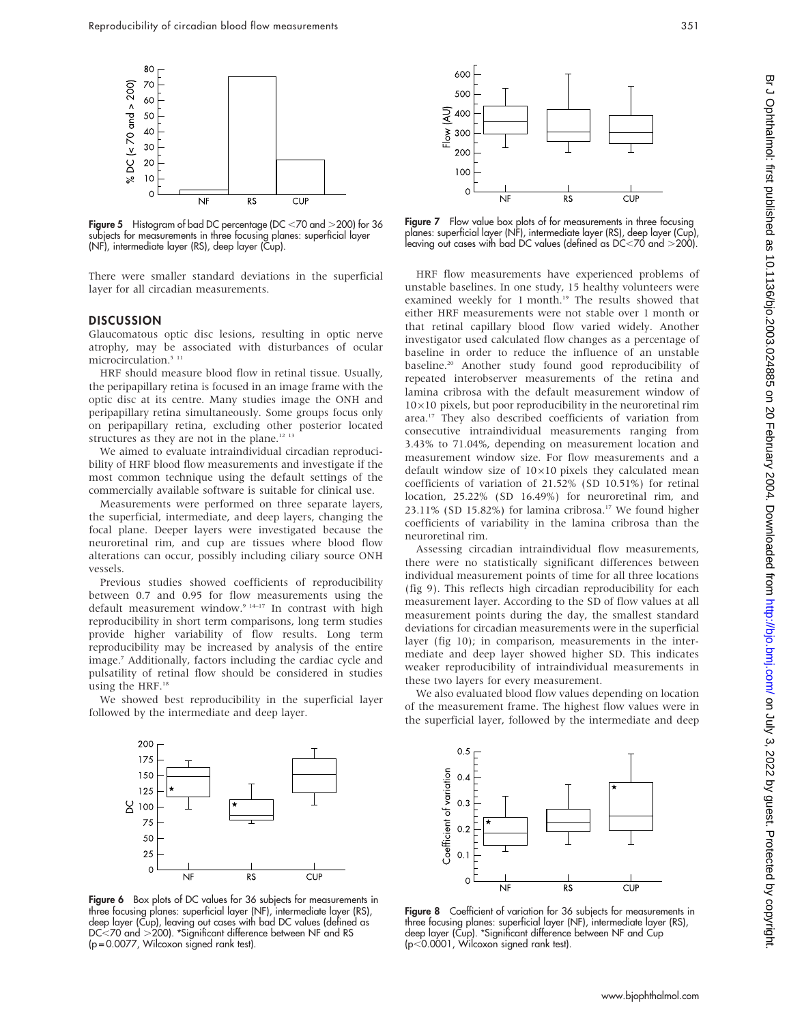

Figure 5 Histogram of bad DC percentage (DC  $<$  70 and  $>$  200) for 36 subjects for measurements in three focusing planes: superficial layer (NF), intermediate layer (RS), deep layer (Cup).

There were smaller standard deviations in the superficial layer for all circadian measurements.

#### **DISCUSSION**

Glaucomatous optic disc lesions, resulting in optic nerve atrophy, may be associated with disturbances of ocular microcirculation.<sup>5 11</sup>

HRF should measure blood flow in retinal tissue. Usually, the peripapillary retina is focused in an image frame with the optic disc at its centre. Many studies image the ONH and peripapillary retina simultaneously. Some groups focus only on peripapillary retina, excluding other posterior located structures as they are not in the plane.<sup>12 13</sup>

We aimed to evaluate intraindividual circadian reproducibility of HRF blood flow measurements and investigate if the most common technique using the default settings of the commercially available software is suitable for clinical use.

Measurements were performed on three separate layers, the superficial, intermediate, and deep layers, changing the focal plane. Deeper layers were investigated because the neuroretinal rim, and cup are tissues where blood flow alterations can occur, possibly including ciliary source ONH vessels.

Previous studies showed coefficients of reproducibility between 0.7 and 0.95 for flow measurements using the default measurement window.<sup>9 14-17</sup> In contrast with high reproducibility in short term comparisons, long term studies provide higher variability of flow results. Long term reproducibility may be increased by analysis of the entire image.7 Additionally, factors including the cardiac cycle and pulsatility of retinal flow should be considered in studies using the HRF.<sup>18</sup>

We showed best reproducibility in the superficial layer followed by the intermediate and deep layer.



Figure 6 Box plots of DC values for 36 subjects for measurements in three focusing planes: superficial layer (NF), intermediate layer (RS), deep layer (Cup), leaving out cases with bad DC values (defined as DC<70 and >200). \*Significant difference between NF and RS (p = 0.0077, Wilcoxon signed rank test).



Figure 7 Flow value box plots of for measurements in three focusing planes: superficial layer (NF), intermediate layer (RS), deep layer (Cup), leaving out cases with bad DC values (defined as DC $<$ 70 and  $>$ 200).

HRF flow measurements have experienced problems of unstable baselines. In one study, 15 healthy volunteers were examined weekly for 1 month.<sup>19</sup> The results showed that either HRF measurements were not stable over 1 month or that retinal capillary blood flow varied widely. Another investigator used calculated flow changes as a percentage of baseline in order to reduce the influence of an unstable baseline.20 Another study found good reproducibility of repeated interobserver measurements of the retina and lamina cribrosa with the default measurement window of  $10\times10$  pixels, but poor reproducibility in the neuroretinal rim area.17 They also described coefficients of variation from consecutive intraindividual measurements ranging from 3.43% to 71.04%, depending on measurement location and measurement window size. For flow measurements and a default window size of  $10\times10$  pixels they calculated mean coefficients of variation of 21.52% (SD 10.51%) for retinal location, 25.22% (SD 16.49%) for neuroretinal rim, and 23.11% (SD 15.82%) for lamina cribrosa.<sup>17</sup> We found higher coefficients of variability in the lamina cribrosa than the neuroretinal rim.

Assessing circadian intraindividual flow measurements, there were no statistically significant differences between individual measurement points of time for all three locations (fig 9). This reflects high circadian reproducibility for each measurement layer. According to the SD of flow values at all measurement points during the day, the smallest standard deviations for circadian measurements were in the superficial layer (fig 10); in comparison, measurements in the intermediate and deep layer showed higher SD. This indicates weaker reproducibility of intraindividual measurements in these two layers for every measurement.

We also evaluated blood flow values depending on location of the measurement frame. The highest flow values were in the superficial layer, followed by the intermediate and deep



Figure 8 Coefficient of variation for 36 subjects for measurements in three focusing planes: superficial layer (NF), intermediate layer (RS), deep layer (Cup). \*Significant difference between NF and Cup  $(p<0.0001)$ , Wilcoxon signed rank test).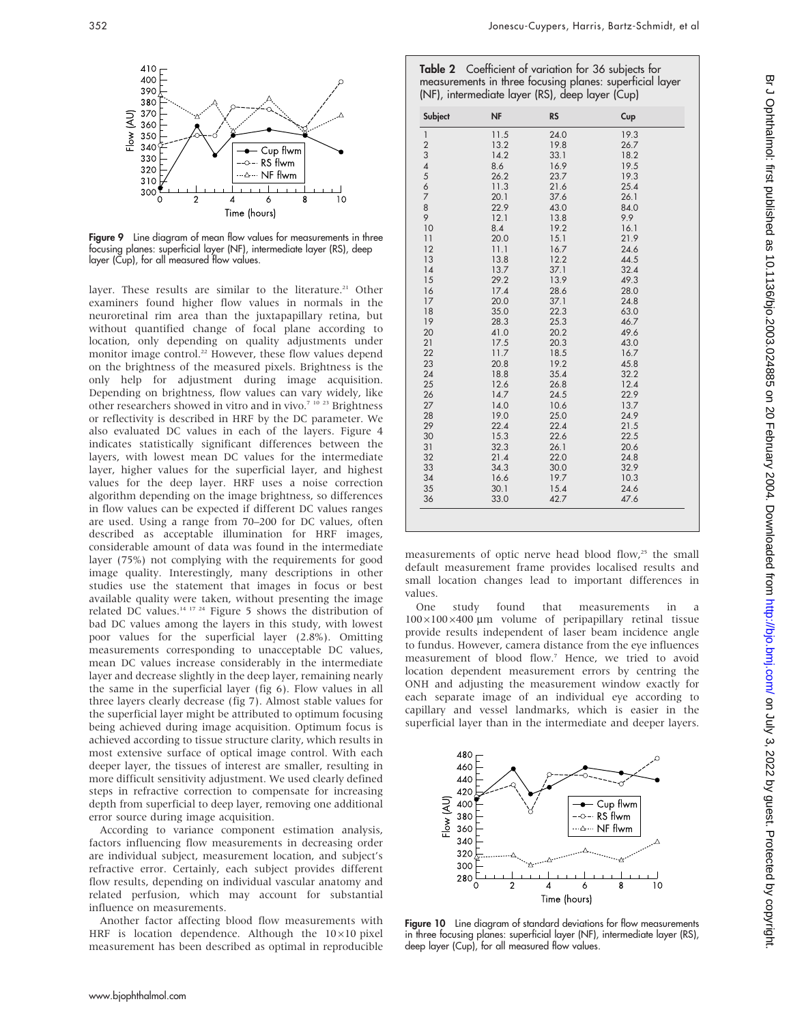

Figure 9 Line diagram of mean flow values for measurements in three focusing planes: superficial layer (NF), intermediate layer (RS), deep layer (Cup), for all measured flow values.

layer. These results are similar to the literature.<sup>21</sup> Other examiners found higher flow values in normals in the neuroretinal rim area than the juxtapapillary retina, but without quantified change of focal plane according to location, only depending on quality adjustments under monitor image control.<sup>22</sup> However, these flow values depend on the brightness of the measured pixels. Brightness is the only help for adjustment during image acquisition. Depending on brightness, flow values can vary widely, like other researchers showed in vitro and in vivo.7 10 23 Brightness or reflectivity is described in HRF by the DC parameter. We also evaluated DC values in each of the layers. Figure 4 indicates statistically significant differences between the layers, with lowest mean DC values for the intermediate layer, higher values for the superficial layer, and highest values for the deep layer. HRF uses a noise correction algorithm depending on the image brightness, so differences in flow values can be expected if different DC values ranges are used. Using a range from 70–200 for DC values, often described as acceptable illumination for HRF images, considerable amount of data was found in the intermediate layer (75%) not complying with the requirements for good image quality. Interestingly, many descriptions in other studies use the statement that images in focus or best available quality were taken, without presenting the image related DC values.<sup>14 17 24</sup> Figure 5 shows the distribution of bad DC values among the layers in this study, with lowest poor values for the superficial layer (2.8%). Omitting measurements corresponding to unacceptable DC values, mean DC values increase considerably in the intermediate layer and decrease slightly in the deep layer, remaining nearly the same in the superficial layer (fig 6). Flow values in all three layers clearly decrease (fig 7). Almost stable values for the superficial layer might be attributed to optimum focusing being achieved during image acquisition. Optimum focus is achieved according to tissue structure clarity, which results in most extensive surface of optical image control. With each deeper layer, the tissues of interest are smaller, resulting in more difficult sensitivity adjustment. We used clearly defined steps in refractive correction to compensate for increasing depth from superficial to deep layer, removing one additional error source during image acquisition.

According to variance component estimation analysis, factors influencing flow measurements in decreasing order are individual subject, measurement location, and subject's refractive error. Certainly, each subject provides different flow results, depending on individual vascular anatomy and related perfusion, which may account for substantial influence on measurements.

Another factor affecting blood flow measurements with HRF is location dependence. Although the  $10\times10$  pixel measurement has been described as optimal in reproducible

| Table 2 Coefficient of variation for 36 subjects for     |
|----------------------------------------------------------|
| measurements in three focusing planes: superficial layer |
| (NF), intermediate layer (RS), deep layer (Cup)          |

| Subject                  | <b>NF</b> | <b>RS</b> | Cup  |
|--------------------------|-----------|-----------|------|
| $\mathbf{1}$             | 11.5      | 24.0      | 19.3 |
| $\overline{\mathbf{c}}$  | 13.2      | 19.8      | 26.7 |
| 3                        | 14.2      | 33.1      | 18.2 |
| $\overline{\mathcal{A}}$ | 8.6       | 16.9      | 19.5 |
| 5                        | 26.2      | 23.7      | 19.3 |
| $\frac{6}{7}$            | 11.3      | 21.6      | 25.4 |
|                          | 20.1      | 37.6      | 26.1 |
| 8                        | 22.9      | 43.0      | 84.0 |
| 9                        | 12.1      | 13.8      | 9.9  |
| 10                       | 8.4       | 19.2      | 16.1 |
| 11                       | 20.0      | 15.1      | 21.9 |
| 12                       | 11.1      | 16.7      | 24.6 |
| 13                       | 13.8      | 12.2      | 44.5 |
| 14                       | 13.7      | 37.1      | 32.4 |
| 15                       | 29.2      | 13.9      | 49.3 |
| 16                       | 17.4      | 28.6      | 28.0 |
| 17                       | 20.0      | 37.1      | 24.8 |
| 18                       | 35.0      | 22.3      | 63.0 |
| 19                       | 28.3      | 25.3      | 46.7 |
| 20                       | 41.0      | 20.2      | 49.6 |
| 21                       | 17.5      | 20.3      | 43.0 |
| 22                       | 11.7      | 18.5      | 16.7 |
| 23                       | 20.8      | 19.2      | 45.8 |
| 24                       | 18.8      | 35.4      | 32.2 |
| 25                       | 12.6      | 26.8      | 12.4 |
| 26                       | 14.7      | 24.5      | 22.9 |
| 27                       | 14.0      | 10.6      | 13.7 |
| 28                       | 19.0      | 25.0      | 24.9 |
| 29                       | 22.4      | 22.4      | 21.5 |
| 30                       | 15.3      | 22.6      | 22.5 |
|                          |           |           |      |
| 31                       | 32.3      | 26.1      | 20.6 |
| 32                       | 21.4      | 22.0      | 24.8 |
| 33                       | 34.3      | 30.0      | 32.9 |
| 34                       | 16.6      | 19.7      | 10.3 |
| 35                       | 30.1      | 15.4      | 24.6 |
| 36                       | 33.0      | 42.7      | 47.6 |

measurements of optic nerve head blood flow,<sup>25</sup> the small default measurement frame provides localised results and small location changes lead to important differences in values.

One study found that measurements in a  $100\times100\times400$  µm volume of peripapillary retinal tissue provide results independent of laser beam incidence angle to fundus. However, camera distance from the eye influences measurement of blood flow.7 Hence, we tried to avoid location dependent measurement errors by centring the ONH and adjusting the measurement window exactly for each separate image of an individual eye according to capillary and vessel landmarks, which is easier in the superficial layer than in the intermediate and deeper layers.



Figure 10 Line diagram of standard deviations for flow measurements in three focusing planes: superficial layer (NF), intermediate layer (RS), deep layer (Cup), for all measured flow values.